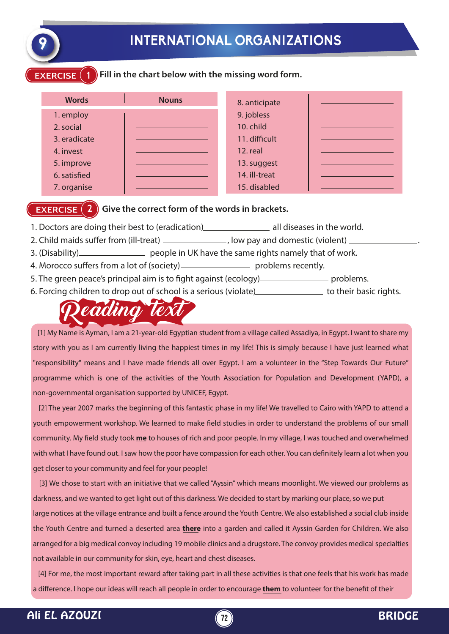

# **9 INTERNATIONAL ORGANIZATIONS**

### **EXERCISE 1 Fill in the chart below with the missing word form.**

| <b>Words</b> | <b>Nouns</b> | 8. anticipate |  |
|--------------|--------------|---------------|--|
| 1. employ    |              | 9. jobless    |  |
| 2. social    |              | 10. child     |  |
| 3. eradicate |              | 11. difficult |  |
| 4. invest    |              | 12. real      |  |
| 5. improve   |              | 13. suggest   |  |
| 6. satisfied |              | 14. ill-treat |  |
| 7. organise  |              | 15. disabled  |  |

## **EXERCISE (2) Give the correct form of the words in brackets.**

- 1. Doctors are doing their best to (eradication) all diseases in the world.
- 2. Child maids suffer from (ill-treat) \_\_\_\_\_\_\_\_\_\_\_\_\_\_\_\_, low pay and domestic (violent) \_
- 3. (Disability) people in UK have the same rights namely that of work.
- 4. Morocco suffers from a lot of (society) problems recently.
- 5. The green peace's principal aim is to fight against (ecology) problems.
- 6. Forcing children to drop out of school is a serious (violate) the subset of their basic rights.



 [1] My Name is Ayman, I am a 21-year-old Egyptian student from a village called Assadiya, in Egypt. I want to share my story with you as I am currently living the happiest times in my life! This is simply because I have just learned what "responsibility" means and I have made friends all over Egypt. I am a volunteer in the "Step Towards Our Future" programme which is one of the activities of the Youth Association for Population and Development (YAPD), a non-governmental organisation supported by UNICEF, Egypt.

 [2] The year 2007 marks the beginning of this fantastic phase in my life! We travelled to Cairo with YAPD to attend a youth empowerment workshop. We learned to make field studies in order to understand the problems of our small community. My field study took **me** to houses of rich and poor people. In my village, I was touched and overwhelmed with what I have found out. I saw how the poor have compassion for each other. You can definitely learn a lot when you get closer to your community and feel for your people!

 [3] We chose to start with an initiative that we called "Ayssin" which means moonlight. We viewed our problems as darkness, and we wanted to get light out of this darkness. We decided to start by marking our place, so we put

large notices at the village entrance and built a fence around the Youth Centre. We also established a social club inside the Youth Centre and turned a deserted area **there** into a garden and called it Ayssin Garden for Children. We also arranged for a big medical convoy including 19 mobile clinics and a drugstore. The convoy provides medical specialties not available in our community for skin, eye, heart and chest diseases.

 [4] For me, the most important reward after taking part in all these activities is that one feels that his work has made a difference. I hope our ideas will reach all people in order to encourage **them** to volunteer for the benefit of their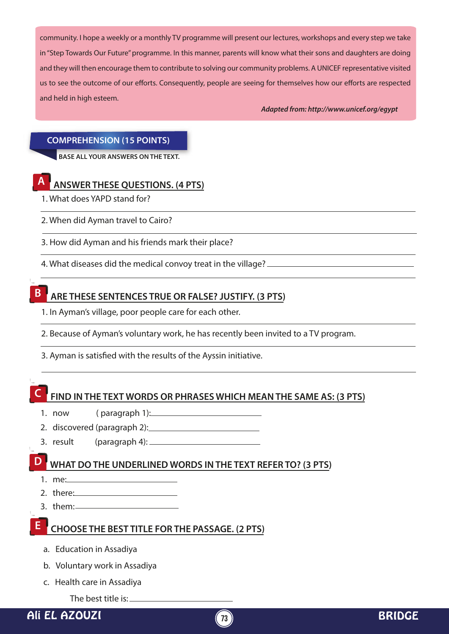community. I hope a weekly or a monthly TV programme will present our lectures, workshops and every step we take in "Step Towards Our Future" programme. In this manner, parents will know what their sons and daughters are doing and they will then encourage them to contribute to solving our community problems. A UNICEF representative visited us to see the outcome of our efforts. Consequently, people are seeing for themselves how our efforts are respected and held in high esteem.

*Adapted from: http://www.unicef.org/egypt*

#### **COMPREHENSION (15 POINTS)**

**BASE ALL YOUR ANSWERS ON THE TEXT.**



**A ANSWER THESE QUESTIONS. (4 PTS)**

1. What does YAPD stand for?

2. When did Ayman travel to Cairo?

3. How did Ayman and his friends mark their place?

4. What diseases did the medical convoy treat in the village?



# **B ARE THESE SENTENCES TRUE OR FALSE? JUSTIFY. (3 PTS)**

1. In Ayman's village, poor people care for each other.

2. Because of Ayman's voluntary work, he has recently been invited to a TV program.

3. Ayman is satisfied with the results of the Ayssin initiative.

# **C FIND IN THE TEXT WORDS OR PHRASES WHICH MEAN THE SAME AS: (3 PTS)**

- 1. now ( paragraph 1):
- 2. discovered (paragraph 2):
- 3. result (paragraph 4):

# **D WHAT DO THE UNDERLINED WORDS IN THE TEXT REFER TO? (3 PTS)**

- 1. me:
- 2. there:
- 3. them:

# **CHOOSE THE BEST TITLE FOR THE PASSAGE. (2 PTS) E**

- a. Education in Assadiya
- b. Voluntary work in Assadiya
- c. Health care in Assadiya

The best title is: